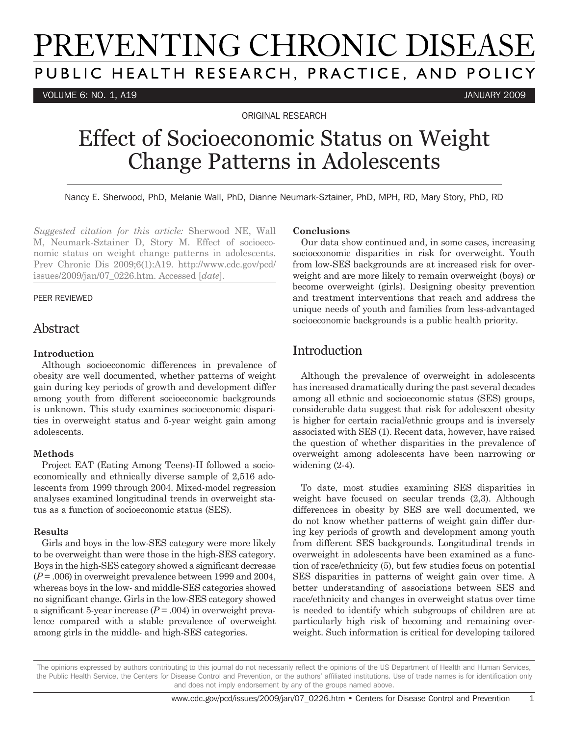# PREVENTING CHRONIC DISEASE PUBLIC HEALTH RESEARCH, PRACTICE, AND POLICY

VOLUME 6: NO. 1, A19 JANUARY 2009

ORIGINAL RESEARCH

## Effect of Socioeconomic Status on Weight Change Patterns in Adolescents

Nancy E. Sherwood, PhD, Melanie Wall, PhD, Dianne Neumark-Sztainer, PhD, MPH, RD, Mary Story, PhD, RD

*Suggested citation for this article:* Sherwood NE, Wall M, Neumark-Sztainer D, Story M. Effect of socioeconomic status on weight change patterns in adolescents. Prev Chronic Dis 2009;6(1):A19. http://www.cdc.gov/pcd/ issues/2009/jan/07\_0226.htm. Accessed [*date*].

#### PEER REVIEWED

## Abstract

#### **Introduction**

Although socioeconomic differences in prevalence of obesity are well documented, whether patterns of weight gain during key periods of growth and development differ among youth from different socioeconomic backgrounds is unknown. This study examines socioeconomic disparities in overweight status and 5-year weight gain among adolescents.

#### **Methods**

Project EAT (Eating Among Teens)-II followed a socioeconomically and ethnically diverse sample of 2,516 adolescents from 1999 through 2004. Mixed-model regression analyses examined longitudinal trends in overweight status as a function of socioeconomic status (SES).

#### **Results**

Girls and boys in the low-SES category were more likely to be overweight than were those in the high-SES category. Boys in the high-SES category showed a significant decrease (*P* = .006) in overweight prevalence between 1999 and 2004, whereas boys in the low- and middle-SES categories showed no significant change. Girls in the low-SES category showed a significant 5-year increase  $(P = .004)$  in overweight prevalence compared with a stable prevalence of overweight among girls in the middle- and high-SES categories.

#### **Conclusions**

Our data show continued and, in some cases, increasing socioeconomic disparities in risk for overweight. Youth from low-SES backgrounds are at increased risk for overweight and are more likely to remain overweight (boys) or become overweight (girls). Designing obesity prevention and treatment interventions that reach and address the unique needs of youth and families from less-advantaged socioeconomic backgrounds is a public health priority.

## Introduction

Although the prevalence of overweight in adolescents has increased dramatically during the past several decades among all ethnic and socioeconomic status (SES) groups, considerable data suggest that risk for adolescent obesity is higher for certain racial/ethnic groups and is inversely associated with SES (1). Recent data, however, have raised the question of whether disparities in the prevalence of overweight among adolescents have been narrowing or widening (2-4).

To date, most studies examining SES disparities in weight have focused on secular trends (2,3). Although differences in obesity by SES are well documented, we do not know whether patterns of weight gain differ during key periods of growth and development among youth from different SES backgrounds. Longitudinal trends in overweight in adolescents have been examined as a function of race/ethnicity (5), but few studies focus on potential SES disparities in patterns of weight gain over time. A better understanding of associations between SES and race/ethnicity and changes in overweight status over time is needed to identify which subgroups of children are at particularly high risk of becoming and remaining overweight. Such information is critical for developing tailored

The opinions expressed by authors contributing to this journal do not necessarily reflect the opinions of the US Department of Health and Human Services, the Public Health Service, the Centers for Disease Control and Prevention, or the authors' affiliated institutions. Use of trade names is for identification only and does not imply endorsement by any of the groups named above.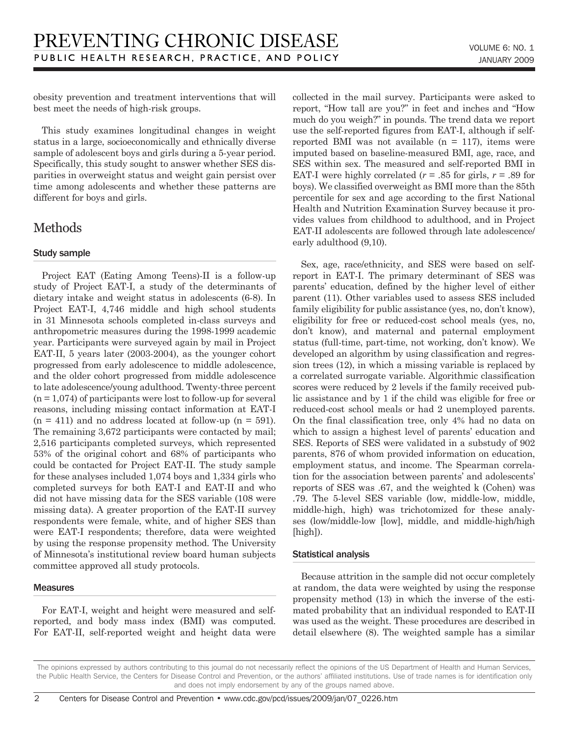obesity prevention and treatment interventions that will best meet the needs of high-risk groups.

This study examines longitudinal changes in weight status in a large, socioeconomically and ethnically diverse sample of adolescent boys and girls during a 5-year period. Specifically, this study sought to answer whether SES disparities in overweight status and weight gain persist over time among adolescents and whether these patterns are different for boys and girls.

## **Methods**

#### Study sample

Project EAT (Eating Among Teens)-II is a follow-up study of Project EAT-I, a study of the determinants of dietary intake and weight status in adolescents (6-8). In Project EAT-I, 4,746 middle and high school students in 31 Minnesota schools completed in-class surveys and anthropometric measures during the 1998-1999 academic year. Participants were surveyed again by mail in Project EAT-II, 5 years later (2003-2004), as the younger cohort progressed from early adolescence to middle adolescence, and the older cohort progressed from middle adolescence to late adolescence/young adulthood. Twenty-three percent  $(n = 1,074)$  of participants were lost to follow-up for several reasons, including missing contact information at EAT-I  $(n = 411)$  and no address located at follow-up  $(n = 591)$ . The remaining 3,672 participants were contacted by mail; 2,516 participants completed surveys, which represented 53% of the original cohort and 68% of participants who could be contacted for Project EAT-II. The study sample for these analyses included 1,074 boys and 1,334 girls who completed surveys for both EAT-I and EAT-II and who did not have missing data for the SES variable (108 were missing data). A greater proportion of the EAT-II survey respondents were female, white, and of higher SES than were EAT-I respondents; therefore, data were weighted by using the response propensity method. The University of Minnesota's institutional review board human subjects committee approved all study protocols.

#### Measures

For EAT-I, weight and height were measured and selfreported, and body mass index (BMI) was computed. For EAT-II, self-reported weight and height data were collected in the mail survey. Participants were asked to report, "How tall are you?" in feet and inches and "How much do you weigh?" in pounds. The trend data we report use the self-reported figures from EAT-I, although if selfreported BMI was not available  $(n = 117)$ , items were imputed based on baseline-measured BMI, age, race, and SES within sex. The measured and self-reported BMI in EAT-I were highly correlated  $(r = .85$  for girls,  $r = .89$  for boys). We classified overweight as BMI more than the 85th percentile for sex and age according to the first National Health and Nutrition Examination Survey because it provides values from childhood to adulthood, and in Project EAT-II adolescents are followed through late adolescence/ early adulthood (9,10).

Sex, age, race/ethnicity, and SES were based on selfreport in EAT-I. The primary determinant of SES was parents' education, defined by the higher level of either parent (11). Other variables used to assess SES included family eligibility for public assistance (yes, no, don't know), eligibility for free or reduced-cost school meals (yes, no, don't know), and maternal and paternal employment status (full-time, part-time, not working, don't know). We developed an algorithm by using classification and regression trees (12), in which a missing variable is replaced by a correlated surrogate variable. Algorithmic classification scores were reduced by 2 levels if the family received public assistance and by 1 if the child was eligible for free or reduced-cost school meals or had 2 unemployed parents. On the final classification tree, only 4% had no data on which to assign a highest level of parents' education and SES. Reports of SES were validated in a substudy of 902 parents, 876 of whom provided information on education, employment status, and income. The Spearman correlation for the association between parents' and adolescents' reports of SES was .67, and the weighted k (Cohen) was .79. The 5-level SES variable (low, middle-low, middle, middle-high, high) was trichotomized for these analyses (low/middle-low [low], middle, and middle-high/high [high]).

#### Statistical analysis

Because attrition in the sample did not occur completely at random, the data were weighted by using the response propensity method (13) in which the inverse of the estimated probability that an individual responded to EAT-II was used as the weight. These procedures are described in detail elsewhere (8). The weighted sample has a similar

The opinions expressed by authors contributing to this journal do not necessarily reflect the opinions of the US Department of Health and Human Services, the Public Health Service, the Centers for Disease Control and Prevention, or the authors' affiliated institutions. Use of trade names is for identification only and does not imply endorsement by any of the groups named above.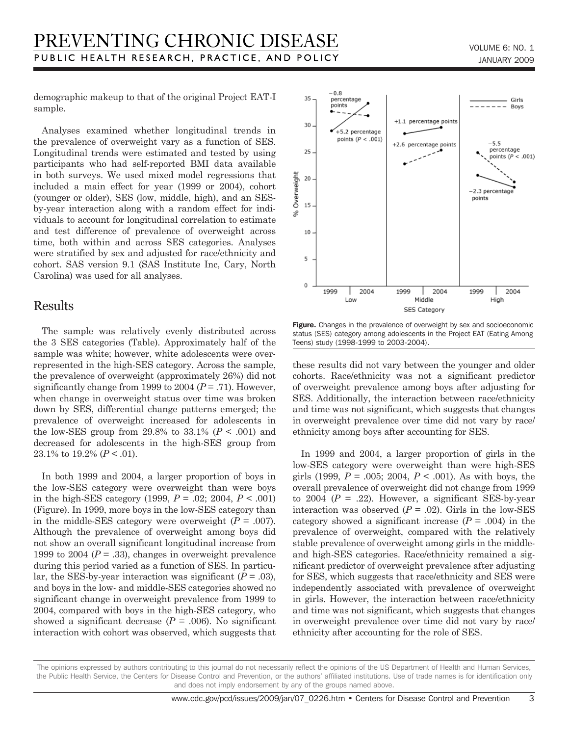demographic makeup to that of the original Project EAT-I sample.

Analyses examined whether longitudinal trends in the prevalence of overweight vary as a function of SES. Longitudinal trends were estimated and tested by using participants who had self-reported BMI data available in both surveys. We used mixed model regressions that included a main effect for year (1999 or 2004), cohort (younger or older), SES (low, middle, high), and an SESby-year interaction along with a random effect for individuals to account for longitudinal correlation to estimate and test difference of prevalence of overweight across time, both within and across SES categories. Analyses were stratified by sex and adjusted for race/ethnicity and cohort. SAS version 9.1 (SAS Institute Inc, Cary, North Carolina) was used for all analyses.

## Results

The sample was relatively evenly distributed across the 3 SES categories (Table). Approximately half of the sample was white; however, white adolescents were overrepresented in the high-SES category. Across the sample, the prevalence of overweight (approximately 26%) did not significantly change from 1999 to 2004  $(P = .71)$ . However, when change in overweight status over time was broken down by SES, differential change patterns emerged; the prevalence of overweight increased for adolescents in the low-SES group from 29.8% to 33.1%  $(P < .001)$  and decreased for adolescents in the high-SES group from 23.1% to 19.2%  $(P < .01)$ .

In both 1999 and 2004, a larger proportion of boys in the low-SES category were overweight than were boys in the high-SES category (1999, *P* = .02; 2004, *P* < .001) (Figure). In 1999, more boys in the low-SES category than in the middle-SES category were overweight  $(P = .007)$ . Although the prevalence of overweight among boys did not show an overall significant longitudinal increase from 1999 to 2004  $(P = .33)$ , changes in overweight prevalence during this period varied as a function of SES. In particular, the SES-by-year interaction was significant  $(P = .03)$ , and boys in the low- and middle-SES categories showed no significant change in overweight prevalence from 1999 to 2004, compared with boys in the high-SES category, who showed a significant decrease  $(P = .006)$ . No significant interaction with cohort was observed, which suggests that



Figure. Changes in the prevalence of overweight by sex and socioeconomic status (SES) category among adolescents in the Project EAT (Eating Among Teens) study (1998-1999 to 2003-2004).

these results did not vary between the younger and older cohorts. Race/ethnicity was not a significant predictor of overweight prevalence among boys after adjusting for SES. Additionally, the interaction between race/ethnicity and time was not significant, which suggests that changes in overweight prevalence over time did not vary by race/ ethnicity among boys after accounting for SES.

In 1999 and 2004, a larger proportion of girls in the low-SES category were overweight than were high-SES girls (1999,  $P = .005$ ; 2004,  $P < .001$ ). As with boys, the overall prevalence of overweight did not change from 1999 to 2004  $(P = .22)$ . However, a significant SES-by-year interaction was observed  $(P = .02)$ . Girls in the low-SES category showed a significant increase  $(P = .004)$  in the prevalence of overweight, compared with the relatively stable prevalence of overweight among girls in the middleand high-SES categories. Race/ethnicity remained a significant predictor of overweight prevalence after adjusting for SES, which suggests that race/ethnicity and SES were independently associated with prevalence of overweight in girls. However, the interaction between race/ethnicity and time was not significant, which suggests that changes in overweight prevalence over time did not vary by race/ ethnicity after accounting for the role of SES.

The opinions expressed by authors contributing to this journal do not necessarily reflect the opinions of the US Department of Health and Human Services, the Public Health Service, the Centers for Disease Control and Prevention, or the authors' affiliated institutions. Use of trade names is for identification only and does not imply endorsement by any of the groups named above.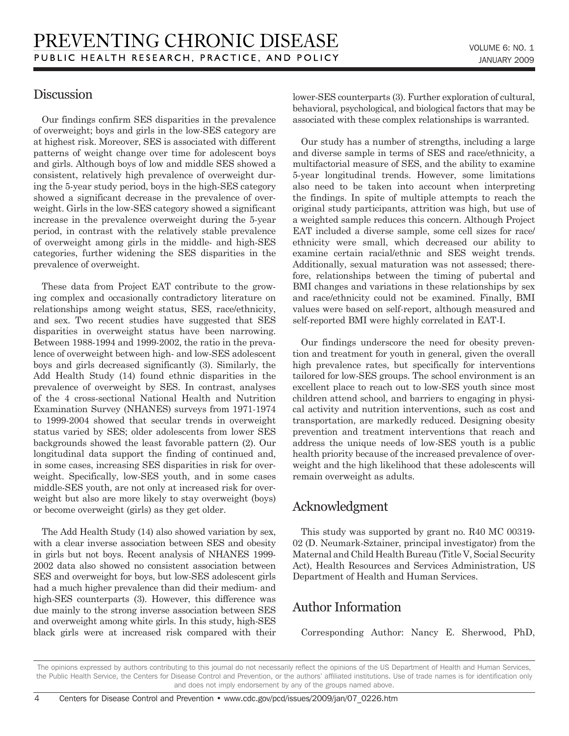## **Discussion**

Our findings confirm SES disparities in the prevalence of overweight; boys and girls in the low-SES category are at highest risk. Moreover, SES is associated with different patterns of weight change over time for adolescent boys and girls. Although boys of low and middle SES showed a consistent, relatively high prevalence of overweight during the 5-year study period, boys in the high-SES category showed a significant decrease in the prevalence of overweight. Girls in the low-SES category showed a significant increase in the prevalence overweight during the 5-year period, in contrast with the relatively stable prevalence of overweight among girls in the middle- and high-SES categories, further widening the SES disparities in the prevalence of overweight.

These data from Project EAT contribute to the growing complex and occasionally contradictory literature on relationships among weight status, SES, race/ethnicity, and sex. Two recent studies have suggested that SES disparities in overweight status have been narrowing. Between 1988-1994 and 1999-2002, the ratio in the prevalence of overweight between high- and low-SES adolescent boys and girls decreased significantly (3). Similarly, the Add Health Study (14) found ethnic disparities in the prevalence of overweight by SES. In contrast, analyses of the 4 cross-sectional National Health and Nutrition Examination Survey (NHANES) surveys from 1971-1974 to 1999-2004 showed that secular trends in overweight status varied by SES; older adolescents from lower SES backgrounds showed the least favorable pattern (2). Our longitudinal data support the finding of continued and, in some cases, increasing SES disparities in risk for overweight. Specifically, low-SES youth, and in some cases middle-SES youth, are not only at increased risk for overweight but also are more likely to stay overweight (boys) or become overweight (girls) as they get older.

The Add Health Study (14) also showed variation by sex, with a clear inverse association between SES and obesity in girls but not boys. Recent analysis of NHANES 1999- 2002 data also showed no consistent association between SES and overweight for boys, but low-SES adolescent girls had a much higher prevalence than did their medium- and high-SES counterparts (3). However, this difference was due mainly to the strong inverse association between SES and overweight among white girls. In this study, high-SES black girls were at increased risk compared with their lower-SES counterparts (3). Further exploration of cultural, behavioral, psychological, and biological factors that may be associated with these complex relationships is warranted.

Our study has a number of strengths, including a large and diverse sample in terms of SES and race/ethnicity, a multifactorial measure of SES, and the ability to examine 5-year longitudinal trends. However, some limitations also need to be taken into account when interpreting the findings. In spite of multiple attempts to reach the original study participants, attrition was high, but use of a weighted sample reduces this concern. Although Project EAT included a diverse sample, some cell sizes for race/ ethnicity were small, which decreased our ability to examine certain racial/ethnic and SES weight trends. Additionally, sexual maturation was not assessed; therefore, relationships between the timing of pubertal and BMI changes and variations in these relationships by sex and race/ethnicity could not be examined. Finally, BMI values were based on self-report, although measured and self-reported BMI were highly correlated in EAT-I.

Our findings underscore the need for obesity prevention and treatment for youth in general, given the overall high prevalence rates, but specifically for interventions tailored for low-SES groups. The school environment is an excellent place to reach out to low-SES youth since most children attend school, and barriers to engaging in physical activity and nutrition interventions, such as cost and transportation, are markedly reduced. Designing obesity prevention and treatment interventions that reach and address the unique needs of low-SES youth is a public health priority because of the increased prevalence of overweight and the high likelihood that these adolescents will remain overweight as adults.

## Acknowledgment

This study was supported by grant no. R40 MC 00319- 02 (D. Neumark-Sztainer, principal investigator) from the Maternal and Child Health Bureau (Title V, Social Security Act), Health Resources and Services Administration, US Department of Health and Human Services.

## Author Information

Corresponding Author: Nancy E. Sherwood, PhD,

The opinions expressed by authors contributing to this journal do not necessarily reflect the opinions of the US Department of Health and Human Services, the Public Health Service, the Centers for Disease Control and Prevention, or the authors' affiliated institutions. Use of trade names is for identification only and does not imply endorsement by any of the groups named above.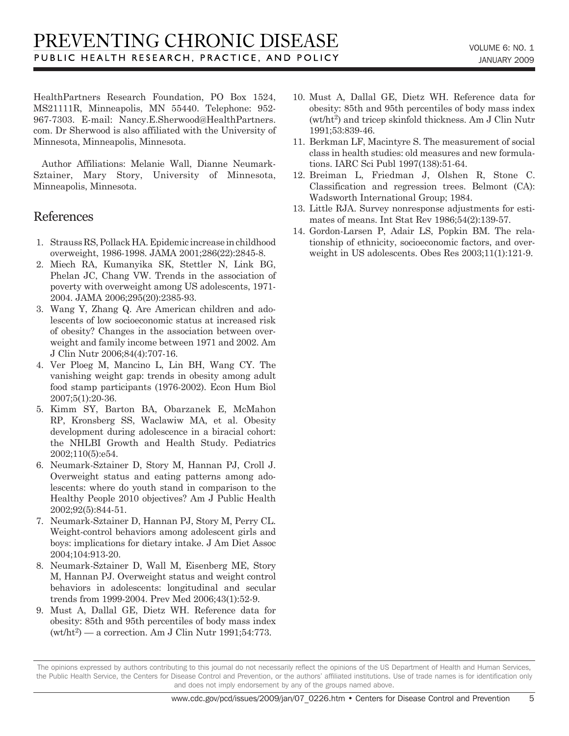HealthPartners Research Foundation, PO Box 1524, MS21111R, Minneapolis, MN 55440. Telephone: 952- 967-7303. E-mail: Nancy.E.Sherwood@HealthPartners. com. Dr Sherwood is also affiliated with the University of Minnesota, Minneapolis, Minnesota.

Author Affiliations: Melanie Wall, Dianne Neumark-Sztainer, Mary Story, University of Minnesota, Minneapolis, Minnesota.

### References

- 1. Strauss RS, Pollack HA. Epidemic increase in childhood overweight, 1986-1998. JAMA 2001;286(22):2845-8.
- 2. Miech RA, Kumanyika SK, Stettler N, Link BG, Phelan JC, Chang VW. Trends in the association of poverty with overweight among US adolescents, 1971- 2004. JAMA 2006;295(20):2385-93.
- 3. Wang Y, Zhang Q. Are American children and adolescents of low socioeconomic status at increased risk of obesity? Changes in the association between overweight and family income between 1971 and 2002. Am J Clin Nutr 2006;84(4):707-16.
- 4. Ver Ploeg M, Mancino L, Lin BH, Wang CY. The vanishing weight gap: trends in obesity among adult food stamp participants (1976-2002). Econ Hum Biol 2007;5(1):20-36.
- 5. Kimm SY, Barton BA, Obarzanek E, McMahon RP, Kronsberg SS, Waclawiw MA, et al. Obesity development during adolescence in a biracial cohort: the NHLBI Growth and Health Study. Pediatrics 2002;110(5):e54.
- 6. Neumark-Sztainer D, Story M, Hannan PJ, Croll J. Overweight status and eating patterns among adolescents: where do youth stand in comparison to the Healthy People 2010 objectives? Am J Public Health 2002;92(5):844-51.
- 7. Neumark-Sztainer D, Hannan PJ, Story M, Perry CL. Weight-control behaviors among adolescent girls and boys: implications for dietary intake. J Am Diet Assoc 2004;104:913-20.
- 8. Neumark-Sztainer D, Wall M, Eisenberg ME, Story M, Hannan PJ. Overweight status and weight control behaviors in adolescents: longitudinal and secular trends from 1999-2004. Prev Med 2006;43(1):52-9.
- 9. Must A, Dallal GE, Dietz WH. Reference data for obesity: 85th and 95th percentiles of body mass index  $(wt/ht^2)$  — a correction. Am J Clin Nutr 1991;54:773.
- 10. Must A, Dallal GE, Dietz WH. Reference data for obesity: 85th and 95th percentiles of body mass index  $(wt/ht^2)$  and tricep skinfold thickness. Am J Clin Nutr 1991;53:839-46.
- 11. Berkman LF, Macintyre S. The measurement of social class in health studies: old measures and new formulations. IARC Sci Publ 1997(138):51-64.
- 12. Breiman L, Friedman J, Olshen R, Stone C. Classification and regression trees. Belmont (CA): Wadsworth International Group; 1984.
- 13. Little RJA. Survey nonresponse adjustments for estimates of means. Int Stat Rev 1986;54(2):139-57.
- 14. Gordon-Larsen P, Adair LS, Popkin BM. The relationship of ethnicity, socioeconomic factors, and overweight in US adolescents. Obes Res 2003;11(1):121-9.

The opinions expressed by authors contributing to this journal do not necessarily reflect the opinions of the US Department of Health and Human Services, the Public Health Service, the Centers for Disease Control and Prevention, or the authors' affiliated institutions. Use of trade names is for identification only and does not imply endorsement by any of the groups named above.